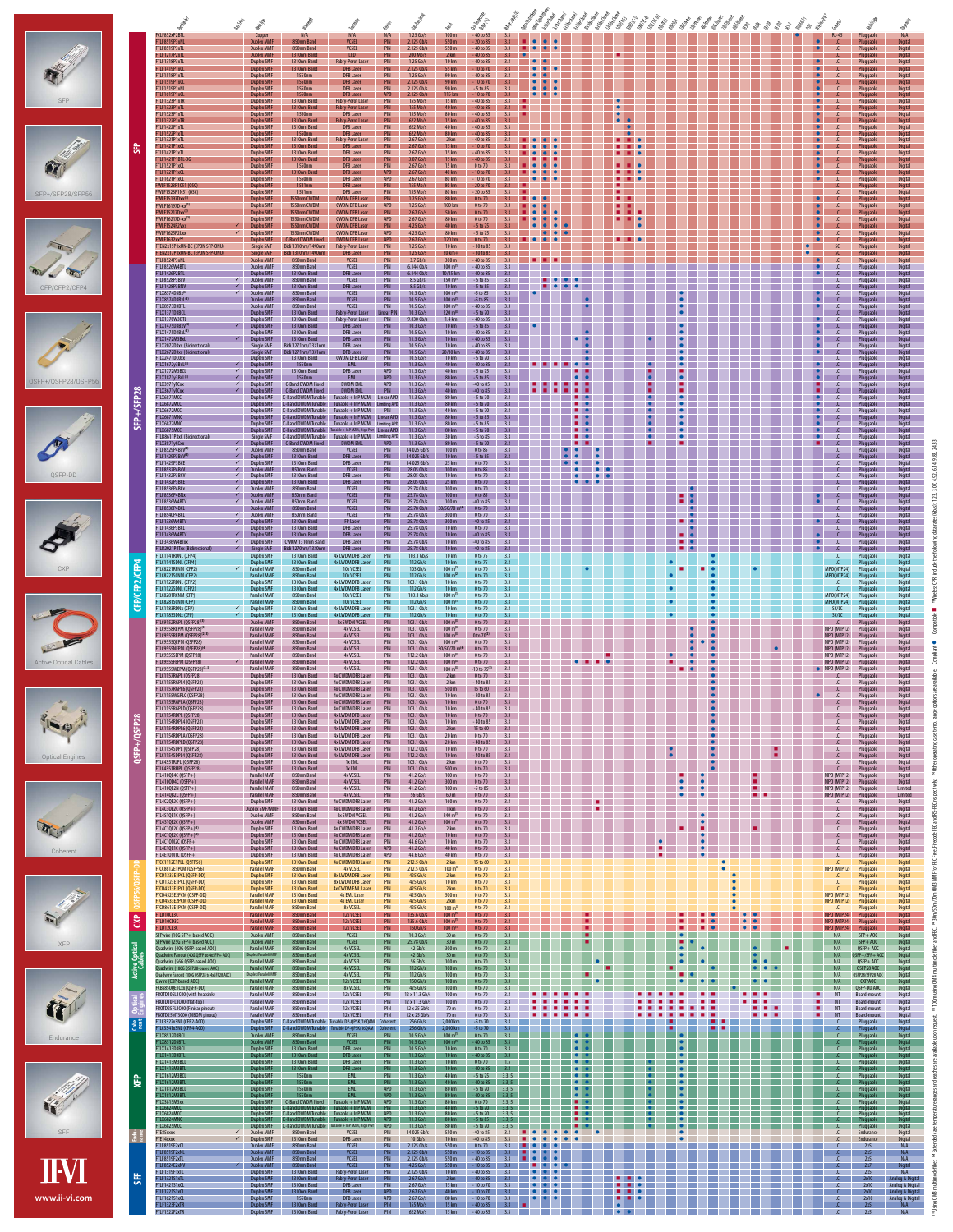|                                      |                                                                                                                                                                        | Bitogen<br>Mappy<br>Marga<br>ligh                                                                                                                                                                                                                                                                                                                                                                                                                                                                                                                                                                  | <b>34 die dag</b><br>Die Grand<br><b>Oller Ton May</b>                                                                                                                                                                                                                                                                                                                                                                        | ES ES ES ES ES ES ES .<br>ES ES ES ES ES ES ES ES :<br>Manisco                                                                                                                                                                |
|--------------------------------------|------------------------------------------------------------------------------------------------------------------------------------------------------------------------|----------------------------------------------------------------------------------------------------------------------------------------------------------------------------------------------------------------------------------------------------------------------------------------------------------------------------------------------------------------------------------------------------------------------------------------------------------------------------------------------------------------------------------------------------------------------------------------------------|-------------------------------------------------------------------------------------------------------------------------------------------------------------------------------------------------------------------------------------------------------------------------------------------------------------------------------------------------------------------------------------------------------------------------------|-------------------------------------------------------------------------------------------------------------------------------------------------------------------------------------------------------------------------------|
|                                      | FCLF852xP2BTL<br>FTLF8519P3xNL<br>FTLF8519P3xTL<br>FTLF1217P2xTL<br>FTLF1318P3xTL                                                                                      | N/A<br>$1.25$ Gb/s<br>100 <sub>m</sub><br>N/A<br>N/A<br>Copper<br><b>VCSEL</b><br>550 m<br><b>Duplex MMF</b><br><b>PIN</b><br>$2.125$ Gb/s<br>850nm Band<br><b>Duplex MMF</b><br>850nm Band<br><b>VCSEL</b><br><b>PIN</b><br>$2.125$ Gb/s<br>550 m<br>LED.<br><b>PIN</b><br>2 km<br><b>Duplex MMF</b><br>1310nm Band<br>$200$ Mb/s<br><b>Duplex SMF</b><br>1310nm Band<br><b>Fabry-Perot Laser</b><br><b>PIN</b><br>$1.25$ Gb/s<br>10 km                                                                                                                                                           | - 40 to 85<br>3.3<br>$\bullet$<br>20 to 85<br>3.3<br>- 40 to 85<br>3.3<br>$\bullet$<br>$\bullet$<br>- 40 to 85<br>3.3<br>- 40 to 85<br>3.3                                                                                                                                                                                                                                                                                    | $RJ-45$<br>N/A<br>Pluggable<br>$\bullet$<br>Pluggable<br><b>Digital</b><br>$\bullet$<br>$\mathfrak{c}$<br>Pluggable<br><b>Digital</b><br><b>Digital</b><br>Pluggable<br>Pluggable<br>Digital                                  |
|                                      | FTLF1419P1xCl<br>FTLF1518P1xTL<br>FTLF1519P1xCl<br>FTLF1519P1xNI                                                                                                       | <b>Duplex SMI</b><br>$2.125$ Gb/s<br>55 km<br>1310nm Band<br><b>DFB Laser</b><br><b>PIN</b><br><b>Duplex SMF</b><br><b>DFB Laser</b><br>$1.25$ Gb/s<br>90 km<br>1550nm<br><b>PIN</b><br>$2.125$ Gb/s<br>90 km<br><b>Duplex SMF</b><br>1550nm<br><b>PIN</b><br><b>DFB Laser</b><br><b>Duplex SMF</b><br>1550nm<br><b>DFB Laser</b><br><b>PIN</b><br>$2.125$ Gb/s<br>90 km                                                                                                                                                                                                                           | 10 to 70<br>$\bullet$<br>$\bullet$<br>- 40 to 85<br>3.3<br>10 to 70<br>$-5$ to 85<br>3.3<br>$\bullet$                                                                                                                                                                                                                                                                                                                         | Pluggable<br><b>Digital</b><br>Pluggable<br>Digital<br><b>Digital</b><br>Pluggable<br>Pluggable<br>Digital                                                                                                                    |
| <b>SFP</b>                           | FTLF1619P1xCl<br>FTLF1323P1xTR<br>FTLF1323P1xTL<br>FTLF1523P1xTL                                                                                                       | <b>APD</b><br><b>Duplex SMF</b><br>1550nm<br><b>DFB Laser</b><br>$2.125$ Gb/s<br>115 km<br><b>Duplex SMI</b><br>1310nm Band<br><b>PIN</b><br>155 Mb/s<br>15 km<br><b>Fabry-Perot Laser</b><br><b>Duplex SMF</b><br><b>PIN</b><br>1310nm Band<br><b>Fabry-Perot Laser</b><br>$155$ Mb/s<br>40 km<br><b>Duplex SMF</b><br>1550nm<br><b>DFB Laser</b><br><b>PIN</b><br>$155$ Mb/s<br>80 km                                                                                                                                                                                                            | 10 to 70<br>33<br>-40 to 85<br>3.3<br>$-40$ to 85<br>3.3 <sup>2</sup><br>40 to 85<br>3.3<br>$\bullet$<br>$\bullet$                                                                                                                                                                                                                                                                                                            | <b>Digital</b><br>Pluggable<br>Pluggable<br>Digital<br><b>Digital</b><br>Pluggable<br>Pluggable<br>Digital<br><b>O</b>                                                                                                        |
|                                      | FTLF1322P1xTR<br>FTLF1422P1xTL<br>FTLF1522P1xTL<br>FTLF1321P1xTL<br>FTLF1421P1xCl                                                                                      | <b>Duplex SMF</b><br><b>PIN</b><br>$622$ Mb/s<br>15 km<br>1310nm Band<br><b>Fabry-Perot Laser</b><br><b>Duplex SMF</b><br>1310nm Band<br><b>DFB Laser</b><br>622 Mb/s<br>40 km<br><b>PIN</b><br><b>Duplex SMF</b><br>1550nm<br>DFB Laser<br><b>PIN</b><br>$622$ Mb/s<br>80 km<br><b>Duplex SMF</b><br>1310nm Band<br><b>PIN</b><br>$2.67$ Gb/s<br>2 km<br><b>Fabry-Perot Lase</b><br><b>Duplex SMF</b><br><b>DFB Laser</b><br><b>PIN</b><br>$2.67$ Gb/s<br>15 km<br>1310nm Band                                                                                                                    | $-40$ to 85<br>3.3 <sup>2</sup><br>-40 to 85<br>3.3<br>$\bullet$<br>-40 to 85<br>$-40$ to 85<br>$-10$ to 70<br>.                                                                                                                                                                                                                                                                                                              | Digital<br>Pluggable<br>Digital<br>Pluggable<br><b>Digital</b><br>Pluggable<br>Digital<br>Pluggable<br><b>Digital</b><br><b>O</b><br>Pluggable                                                                                |
|                                      | <b>SFP</b><br>FTLF1421P1xTL<br>FTLF1421P1BTL-30<br>FTLF1521P1xCL<br>FTLF1721P1xCl                                                                                      | <b>Duplex SMF</b><br>$2.67$ Gb/s<br>15 km<br>1310nm Band<br>DFB Laser<br><b>PIN</b><br><b>Duplex SMI</b><br><b>PIN</b><br>3.07 Gb/s<br>15 km<br>1310nm Band<br>DFB Laser<br>$2.67$ Gb/s<br><b>Duplex SMF</b><br>1550nm<br>DFB Laser<br><b>PIN</b><br>15 km<br>APD<br><b>Duplex SMF</b><br>1310nm Band<br><b>DFB Laser</b><br>$2.67$ Gb/s<br>40 km                                                                                                                                                                                                                                                  | - 40 to 85<br>3.3<br>. .<br>-40 to 85<br>0 to 70<br>.<br>10 to 70                                                                                                                                                                                                                                                                                                                                                             | Pluggable<br>Digital<br><b>Digital</b><br>Pluggable<br>$\overline{1}$<br>Pluggable<br>Digital<br>Pluggable<br><b>Digital</b>                                                                                                  |
| SFP+/SFP28/SFP56                     | FTLF1621P1xCL<br>FWLF1523P1C51 (OSC)<br>FWLF1523P1N51 (OSC)<br><b>FWLF15197Dxx<sup>(2)</sup></b>                                                                       | <b>Duplex SMF</b><br>1550nm<br><b>APD</b><br>$2.67$ Gb/s<br>80 km<br>DFB Laser<br><b>Duplex SMF</b><br>PIN<br>$155$ Mb/s<br>80 km<br>1511nm<br>DFB Laser<br><b>Duplex SMF</b><br>1511nm<br><b>DFB Laser</b><br><b>PIN</b><br>155 Mb/s<br>80 km<br><b>Duplex SMF</b><br><b>CWDM DFB Laser</b><br><b>PIN</b><br>$1.25$ Gb/s<br>1550nm CWDM<br>80 km                                                                                                                                                                                                                                                  | 10 to 70<br>3.3<br>.<br>$\bullet$<br>$\bullet$<br>3.3 <sup>2</sup><br>- 20 to 70<br>20 to 85<br>3.3<br>0 to 70<br>$\bullet$<br>. .                                                                                                                                                                                                                                                                                            | Digital<br>$\bullet$<br>LC<br>Pluggable<br><b>Digital</b><br>Pluggable<br>Pluggable<br>Digital<br>Digital<br>Pluggable                                                                                                        |
|                                      | FWLF16197D-xx <sup>(2)</sup><br>FWLF15217Dxx <sup>(2)</sup><br>FWLF16217D-xx <sup>(2)</sup><br>FWLF1524P2Vxx                                                           | <b>Duplex SMF</b><br><b>CWDM DFB Laser</b><br>APD<br>$1.25$ Gb/s<br>100 km<br>1550nm CWDN<br><b>PIN</b><br>$2.67$ Gb/s<br><b>Duplex SMF</b><br>1550nm CWDM<br><b>CWDM DFB Laser</b><br>50 km<br><b>APD</b><br><b>80 km</b><br><b>Duplex SMF</b><br><b>CWDM DFB Laser</b><br>$2.67$ Gb/s<br>1550nm CWDN<br><b>Duplex SMI</b><br>1550nm CWDM<br><b>PIN</b><br>$4.25$ Gb/s<br>40 km<br>$\checkmark$<br><b>CWDM DFB Laser</b>                                                                                                                                                                          | 0 to 70<br>3.3<br>. .<br>0 to 70<br>$\bullet$<br>0 to 70<br>3.3<br>$-5$ to 75<br>3.3 <sup>°</sup><br>$\bullet$                                                                                                                                                                                                                                                                                                                | Pluggable<br>Digital<br>Digital<br>Pluggable<br>Pluggable<br><b>Digital</b><br>Digital<br>Pluggable                                                                                                                           |
|                                      | FWLF1625P2Lxx<br>FWLF1632xx <sup>(2)</sup><br>FTEN2x15P1xUN-BC (EPON SFP-ONU)<br>FTEN2x17P1xUN-BC (EPON SFP-ONU)<br>FTLF8524P3xNI                                      | $\checkmark$<br><b>Duplex SMF</b><br>1550nm CWDN<br><b>CWDM DFB Laser</b><br>APD<br>$4.25$ Gb/s<br>80 km<br><b>APD</b><br><b>Duplex SMF</b><br><b>C-Band DWDM Fixed</b><br><b>DWDM DFB Laser</b><br>$2.67$ Gb/s<br>120 km<br>Single SMF<br>10 km<br>Bidi 1310nm/1490nm<br><b>Fabry-Perot Laser</b><br><b>PIN</b><br>$1.25$ Gb/s<br><b>Single SMF</b><br><b>PIN</b><br>$1.25$ Gb/s<br>$20 km+$<br>Bidi 1310nm/1490nn<br><b>DFB Laser</b><br>$3.7$ Gb/s<br>PIN<br>300 <sub>m</sub>                                                                                                                   | $-5$ to 75<br>3.3<br>$\bullet$<br>0 to 70<br>3.3<br>$\bullet$<br>. .<br><b>e</b><br>a sa sa<br>$-30$ to 85<br>3.3<br>- 30 to 85<br>- 40 to 85                                                                                                                                                                                                                                                                                 | Digital<br><b>C</b><br>Pluggable<br><b>C</b><br><b>Digital</b><br>Pluggable<br>$\mathcal{S}$<br>Digital<br>Pluggable<br>Pluggable<br><b>Digital</b>                                                                           |
| CFP/CFP2/CFP4                        | FTLF8526W4BTL<br>FTLF1426P2BTI<br>FTLF8528P3BxV<br>FTLF1428P3BN\                                                                                                       | <b>Duplex MMF</b><br><b>VCSEL</b><br>850nm Band<br><b>VCSEL</b><br>6.144 Gb/s<br>$300 \text{ m}^{(1)}$<br><b>Duplex MMF</b><br>850nm Band<br><b>PIN</b><br>$6.144$ Gb/s<br>10/15 km<br><b>Duplex SMF</b><br>1310nm Band<br><b>DFB Laser</b><br><b>PIN</b><br>$150 \text{ m}^{(1)}$<br>$\checkmark$<br><b>Duplex MMI</b><br><b>VCSEL</b><br>$8.5$ Gb/s<br>850nm Band<br><b>PIN</b><br><b>Duplex SMF</b><br>PIN<br>$8.5$ Gb/s<br>10 km<br>$\checkmark$<br>1310nm Band<br><b>DFB Laser</b>                                                                                                            | - 40 to 85<br>3.3<br>- 40 to 85<br>$-5$ to 85<br>3.3<br>$-5$ to 85<br>3.3                                                                                                                                                                                                                                                                                                                                                     | Pluggable<br><b>Digital</b><br>Pluggable<br>Digital<br>Digital<br>Pluggable<br>Pluggable<br>Digital<br><b>Digital</b><br>Pluggable                                                                                            |
|                                      | FTLX8574D3Bx <sup>(5)</sup><br>FTLX8574D3BxL <sup>(5</sup><br><b>FTLX8573D3BT</b><br>FTLX1371D3BC                                                                      | $\checkmark$<br><b>VCSEL</b><br>$10.3$ Gb/s<br>$300 \text{ m}^{(1)}$<br><b>Duplex MMI</b><br>850nm Band<br>PIN<br><b>VCSEL</b><br>$10.5$ Gb/s<br>$300 \text{ m}^{(1)}$<br><b>Duplex MMI</b><br>850nm Band<br>PIN<br><b>VCSEL</b><br>10.5 Gb/s<br><b>Duplex MMI</b><br>850nm Band<br>PIN<br>$300 \text{ m}^{(1)}$<br><b>Fabry-Perot Laser</b><br><b>Duplex SMF</b><br>$10.3$ Gb/s<br>$220 \text{ m}^{(3)}$<br>1310nm Band<br><b>Linear P</b>                                                                                                                                                        | $-5$ to 85<br>3.3<br>-5 to 85<br>- 40 to 85<br>$-5$ to 70                                                                                                                                                                                                                                                                                                                                                                     | Digital<br>Pluggable<br>Digital<br>Pluggable<br>Pluggable<br>Digital<br>Digital<br>Pluggable                                                                                                                                  |
|                                      | FTLX1370W3BTL<br>FTLX1475D3BxV <sup>(5)</sup><br>FTLX1475D3BxL <sup>(5)</sup><br>FTLX1472M3BxL                                                                         | <b>Duplex SMI</b><br>1310nm Band<br><b>Fabry-Perot Laser</b><br>9.830 Gb/s<br>$1.4 \mathrm{km}$<br>$\vert \checkmark \vert$<br><b>Duplex SMF</b><br>1310nm Band<br><b>DFB Laser</b><br><b>PIN</b><br>$10.3$ Gb/s<br>$10 \mathrm{km}$<br><b>Duplex SMI</b><br><b>DFB Laser</b><br>10.5 Gb/s<br>1310nm Band<br>10 km<br>PIN<br>$\checkmark$<br><b>Duplex SMF</b><br>1310nm Band<br><b>DFB Laser</b><br>$11.3$ Gb/s<br>$10 \mathrm{km}$<br><b>PIN</b>                                                                                                                                                 | - 40 to 85<br>$-5$ to 85<br>- 40 to 85<br>- 40 to 85                                                                                                                                                                                                                                                                                                                                                                          | Digital<br>Pluggable<br>Digital<br>Pluggable<br>Digital<br>Pluggable<br>Digital<br>Pluggable                                                                                                                                  |
|                                      | FTLX2072D3xx (Bidirectional)<br>LX2672D3xx (Bidirectional)<br>FTLX2471DC0xx<br>FTLX1672y3BxL <sup>(5)</sup><br>FTLX1772M3BCL                                           | Single SMF<br><b>DFB Laser</b><br>$10.5$ Gb/s<br>Bidi 1271nm/1331nm<br><b>PIN</b><br>$10 \mathrm{km}$<br>Bidi 1271nm/1331nn<br><b>DFB Laser</b><br>1310nm Band<br><b>CWDM DFB Laser</b><br>$10.5$ Gb/s<br>10 km<br><b>Duplex SMI</b><br><b>PIN</b><br><b>Duplex SMI</b><br>$11.3$ Gb/s<br>40 km<br>$\checkmark$<br>1550nm<br><b>EM</b><br><b>PIN</b><br>$11.3$ Gb/s<br><b>Duplex SMI</b><br>1310nm Band<br><b>DFB Laser</b><br><b>APD</b><br>40 km<br>$\checkmark$                                                                                                                                 | $\bullet$<br>- 40 to 85<br>3.3<br>$\bullet$<br>$-5$ to 70<br>3.3<br>40 to 85<br>$-5$ to 75<br>3.3                                                                                                                                                                                                                                                                                                                             | $\bullet$<br>Pluggable<br>Digital<br>Digital<br>Pluggable<br><b>Digital</b><br>Pluggable<br>Pluggable<br>Digital                                                                                                              |
| QSFP+/QSFP28/QSFP56                  | FTLX1871y3BxL <sup>(5)</sup><br>FTLX3971yTCxx<br>FTLX3671yTCxx<br>FTLX6871MCC                                                                                          | 1550nm<br>APD<br>$11.3$ Gb/s<br><b>Duplex SMF</b><br><b>EML</b><br>80 km<br>$\checkmark$<br><b>C-Band DWDM Fixed</b><br><b>DWDM EML</b><br><b>APD</b><br>$11.3$ Gb/s<br>40 km<br>$\checkmark$<br><b>Duplex SMF</b><br><b>DWDM EML</b><br>PIN<br>40 km<br>$\sqrt{2}$<br><b>Duplex SMF</b><br>$11.3$ Gb/s<br><b>C-Band DWDM Fixed</b><br>Tunable + InP MZM<br>$11.3$ Gb/s<br>80 km<br><b>Duplex SMF</b><br><b>C-Band DWDM Tunable</b><br><b>Linear APD</b>                                                                                                                                           | $-5$ to 85<br>-40 to 85<br>3.3<br>-40 to 85<br>$-5$ to 70<br>3.3                                                                                                                                                                                                                                                                                                                                                              | <b>Digital</b><br>Pluggable<br>Digital<br>Pluggable<br>Digital<br>Pluggable<br>Pluggable<br>Digital                                                                                                                           |
|                                      | SFP+/SFP28<br>TLX6872MCC<br>FTLX6672MCC<br>TLX6871MNC<br>FTLX6872MNC                                                                                                   | $11.3$ Gb/s<br><b>Duplex SMI</b><br>80 km<br><b>C-Band DWDM Tunable</b><br>Tunable + InP MZM<br>Limiting APD<br>$11.3$ Gb/s<br><b>Duplex SMF</b><br><b>C-Band DWDM Tunable</b><br>Tunable $+$ InP MZM<br><b>PIN</b><br>40 km<br><b>Duplex SMF</b><br><b>C-Band DWDM Tunable</b><br>$11.3$ Gb/s<br>80 km<br>Tunable $+$ InP MZM<br>Linear APD<br>$11.3$ Gb/s<br>80 km<br><b>Duplex SMF</b><br><b>C-Band DWDM Tunable</b><br>Tunable $+$ InP MZM<br>Limiting APD                                                                                                                                     | - 5 to 70<br>$-5$ to 70<br>3.3<br>$-5$ to 85<br>3.3<br>$-5$ to 85<br>3.3                                                                                                                                                                                                                                                                                                                                                      | Digital<br>Pluggable<br>Pluggable<br>Digital<br><b>Digital</b><br>Pluggable<br>Digital<br>Pluggable                                                                                                                           |
|                                      | FTLX6875MCC<br>FTLB8611P3xC (Bidirectional)<br>TLX3871yCCxx<br>FTLF8529P4BxV <sup>(5)</sup><br>FTLF1429P3BxV <sup>(5)</sup>                                            | $11.3$ Gb/s<br>80 km<br><b>Duplex SM</b><br>Tunable + InP MZM, High Pwr Linear APD<br><b>C-Band DWDM Tunable</b><br>$11.3$ Gb/s<br><b>Single SMF</b><br>Tunable + InP MZM<br>30 km<br><b>C-Band DWDM Tunable</b><br><b>Limiting APD</b><br>$11.3$ Gb/s<br>$\checkmark$<br><b>DWDM EML</b><br><b>APD</b><br>80 km<br><b>Duplex SMF</b><br><b>C-Band DWDM Fixed</b><br>$\checkmark$<br>850nm Band<br><b>VCSEL</b><br>14.025 Gb/s<br>100 <sub>m</sub><br><b>Duplex MM</b><br><b>PIN</b><br><b>Duplex SMF</b><br><b>DFB Laser</b><br><b>PIN</b><br>14.025 Gb/s<br>10 km<br>$\checkmark$<br>1310nm Band | - 5 to 70<br>- 5 to 85<br>3.3<br>$-5$ to 70<br>3.3<br>0 to 85<br>3.3<br>$-5$ to 85<br>3.3                                                                                                                                                                                                                                                                                                                                     | <b>Digital</b><br>Pluggable<br>Digital<br>Pluggable<br>Digital<br>Pluggable<br>Digital<br>Pluggable<br><b>Digital</b><br>Pluggable                                                                                            |
| QSFP-DD                              | FTLF1429P3BCE<br>FTLF8532P4BxV<br>FTLF1432P3BCV<br>FTLF1432P3BCE                                                                                                       | 14.025 Gb/s<br><b>Duplex SMI</b><br>1310nm Band<br><b>DFB Laser</b><br><b>PIN</b><br>25 km<br>$\checkmark$<br><b>PIN</b><br>28.05 Gb/s<br>100 <sub>m</sub><br>$\checkmark$<br><b>Duplex MMI</b><br>850nm Band<br><b>VCSEL</b><br>28.05 Gb/s<br><b>Duplex SMI</b><br>1310nm Band<br><b>DFB Laser</b><br><b>PIN</b><br>10 km<br>$\checkmark$<br>$\checkmark$<br><b>Duplex SMI</b><br>1310nm Band<br><b>DFB Laser</b><br><b>PIN</b><br>28.05 Gb/s<br>25 km                                                                                                                                            | 0 to 70<br>3.3<br>0 to 85<br>0 to 70<br>3.3<br>0 to 70<br>3.3                                                                                                                                                                                                                                                                                                                                                                 | Pluggable<br>Digital<br><b>Digital</b><br>Pluggable<br>Pluggable<br>Digital<br>Pluggable<br><b>Digital</b>                                                                                                                    |
|                                      | FTLF8536P4BCx<br>FTLF8536P4BNx<br>FTLF8536W4BTV<br>TLF8538P4BCL                                                                                                        | $\checkmark$<br><b>VCSEL</b><br>25.78 Gb/s<br>100 <sub>m</sub><br><b>Duplex MMI</b><br>850nm Band<br><b>PIN</b><br>$\checkmark$<br>850nm Band<br><b>VCSEL</b><br><b>PIN</b><br>25.78 Gb/s<br>100 <sub>m</sub><br><b>Duplex MM</b><br>25.78 Gb/s<br>$\checkmark$<br>850nm Band<br><b>VCSEL</b><br>100 <sub>m</sub><br><b>Duplex MMI</b><br><b>PIN</b><br>25.78 Gb/s<br>30/50/70 m <sup>(4)</sup><br><b>Duplex MMF</b><br>850nm Band<br><b>VCSEL</b><br><b>PIN</b>                                                                                                                                   | 0 to 70<br>3.3<br>0 to 85<br>-40 to 85<br>3.3<br>0 to 70                                                                                                                                                                                                                                                                                                                                                                      | Digital<br>Pluggable<br><b>Digital</b><br>Pluggable<br>Pluggable<br>Digital<br><b>Digital</b><br>Pluggable                                                                                                                    |
|                                      | FTLF8540P4BCL<br>FTLF1336W4BTV<br>FTLF1436P3BCL<br>FTLF1436W4BTV                                                                                                       | 850nm Band<br><b>VCSEL</b><br>25.78 Gb/s<br>300 <sub>m</sub><br>$\checkmark$<br>Duplex MMI<br><b>PIN</b><br>$\checkmark$<br><b>Duplex SMF</b><br><b>FP Laser</b><br><b>PIN</b><br>25.78 Gb/s<br>300 m<br>1310nm Band<br><b>Duplex SMF</b><br>1310nm Band<br><b>DFB Laser</b><br><b>PIN</b><br>25.78 Gb/s<br>10 km<br>10 km<br>$\checkmark$<br><b>Duplex SMI</b><br>1310nm Band<br><b>DFB Laser</b><br><b>PIN</b><br>25.78 Gb/s                                                                                                                                                                     | 0 to 70<br>3.3<br>-40 to 85<br>3.3<br>0 to 70<br>3.3<br>$-40$ to 85                                                                                                                                                                                                                                                                                                                                                           | Digital<br>Pluggable<br>Pluggable<br><b>Digital</b><br>Pluggable<br>Digital<br>Pluggable<br>Digital                                                                                                                           |
| <b>CXP</b>                           | FTLF3436W4BTxx<br>TLB2021P4Txx (Bidirectional<br>FTLC1141RDNL (CFP4)<br>TLC1141SDNL (CFP4)<br>TLC8221RFNM (CFP2)                                                       | $\checkmark$<br><b>Duplex SMF</b><br>CWDM 1310nm Band<br><b>DFB Laser</b><br><b>PIN</b><br>25.78 Gb/s<br>10 km<br>$\vert \checkmark \vert$<br>Single SMF<br><b>DFB Laser</b><br><b>PIN</b><br>25.78 Gb/s<br>10 km<br>Bidi 1270nm/1330nn<br><b>Duplex SMF</b><br>4x LWDM DFB Laser<br>103.1 Gb/s<br>10 km<br>1310nm Band<br><b>PIN</b><br><b>Duplex SMI</b><br>1310nm Band<br>4x LWDM DFB Laser<br><b>PIN</b><br>112 Gb/s<br>10 km<br>Parallel MMI<br>850nm Band<br>10x VCSEL<br><b>PIN</b><br>103 Gb/s<br>300 m <sup>(2)</sup><br>$\checkmark$                                                     | -40 to 85<br>3.3<br>-40 to 85<br>0 to 75<br>3.3<br>0 to 75<br>3.3<br>0 to 70<br>3.3                                                                                                                                                                                                                                                                                                                                           | Pluggable<br>Digital<br><b>Digital</b><br>Pluggable<br>Digital<br>Pluggable<br>Digital<br>Pluggable<br>MPO(MTP24)<br>Pluggable                                                                                                |
|                                      | CFP/CFP2/CFP4<br>TLC8221SCNM (CFP2)<br>FTLC1122RDNL (CFP2)<br>FTLC1122SDNL (CFP2)<br>FTLC8281RCNM (CFP)                                                                | $100 \text{ m}^{(2)}$<br><b>Parallel MM</b><br>850nm Band<br>10x VCSEL<br>PIN<br>$112$ Gb/s<br><b>Duplex SMI</b><br>103.1 Gb/s<br>10 km<br>1310nm Band<br>4x LWDM DFB Laser<br><b>PIN</b><br><b>Duplex SMI</b><br>4x LWDM DFB Laser<br>112 Gb/s<br>10 km<br>1310nm Band<br><b>PIN</b><br>103.1 Gb/s<br><b>Parallel MM</b><br>850nm Band<br>10x VCSEL<br><b>PIN</b><br>$100 \text{ m}^{(1)}$                                                                                                                                                                                                        | 0 to 70<br>3.3<br>0 to 70<br>3.3<br>0 to 70<br>3.3<br>3.3<br>0 to 70                                                                                                                                                                                                                                                                                                                                                          | Digital<br>MPO(MTP24)<br>Pluggable<br><b>Digital</b><br>Digital<br>Pluggable<br><b>Digital</b><br>Pluggable<br>MPO(MTP24)<br>Digital<br>Pluggable                                                                             |
|                                      | TLC8281SCNM (CFP)<br>FTLC1183RDNx (CFP)<br>TLC1183SDNx (CFP)  <br>TLC9152RGPL (QSFP28) <sup>(3)</sup>                                                                  | <b>Parallel MM</b><br>10x VCSEL<br><b>PIN</b><br>$112$ Gb/s<br>$100 \text{ m}^{(1)}$<br>850nm Band<br><b>Duplex SMF</b><br>1310nm Band<br>4x LWDM DFB Laser<br><b>PIN</b><br>103.1 Gb/s<br>10 km<br>$\checkmark$<br><b>Duplex SMI</b><br>10 km<br>1310nm Band<br>4x LWDM DFB Laser<br><b>PIN</b><br>$112$ Gb/s<br>$\checkmark$<br>$100 \text{ m}^{(3)}$<br><b>Duplex MMI</b><br><b>4x SWDM VCSEL</b><br><b>PIN</b><br>103.1 Gb/s<br>850nm Band                                                                                                                                                     | 0 to 70<br>3.3<br>0 to 70<br>3.3<br>0 to 70<br>3.3<br>0 to 70<br>3.3                                                                                                                                                                                                                                                                                                                                                          | Digital<br>MPO(MTP24)<br>Pluggable<br>SC/LC<br>Pluggable<br>Digital<br>SC/LC<br>Digital<br>Pluggable<br>Digital<br>LC<br>Pluggable                                                                                            |
| <b>Contract of the Second Street</b> | FTLC9558REPM (QSFP28) <sup>(3)</sup><br>FTLC9555REPM (QSFP28) <sup>(2, 3)</sup><br>FTLC9555QEPM (QSFP28)<br>FTLC9555NEPM (QSFP28) <sup>(4</sup>                        | Parallel MMI<br>103.1 Gb/s<br>$100 \text{ m}^{(3)}$<br>850nm Band<br>4x VCSEL<br><b>PIN</b><br>Parallel MMI<br><b>4x VCSEL</b><br><b>PIN</b><br>103.1 Gb/s<br>$100 \text{ m}^{(3)}$<br>850nm Band<br>Parallel MMI<br>103.1 Gb/s<br>$100 \text{ m}^{(3)}$<br>850nm Band<br>4x VCSEL<br><b>PIN</b><br><b>Parallel MMI</b><br>PIN<br>30/50/70 m <sup>(4)</sup><br>850nm Band<br>103.1 Gb/s<br>4x VCSEL                                                                                                                                                                                                | 0 to 70<br>3.3<br>0 to $70^{(2)}$<br>0 to 70<br>3.3<br>0 to 70                                                                                                                                                                                                                                                                                                                                                                | <b>MPO (MTP12)</b><br>Pluggable<br>Digital<br><b>MPO (MTP12)</b><br>Pluggable<br>Digital<br><b>MPO (MTP12)</b><br>Pluggable<br>Digital<br>MPO (MTP12)<br>Pluggable<br>Digital                                                 |
| Active Optical Cables                | FTLC9555SEPM (QSFP28)<br>FTLC9555FEPM (QSFP28)<br>FTLC9555WEPM (QSFP28) <sup>(2, 3)</sup><br>FTLC1157RGPL (QSFP28)                                                     | 112.2 Gb/s<br>$100 \text{ m}^{(3)}$<br>Parallel MMI<br>850nm Band<br>4x VCSEL<br><b>PIN</b><br><b>Parallel MMF</b><br>850nm Band<br><b>4x VCSEL</b><br><b>PIN</b><br>112.2 Gb/s<br>$100 \text{ m}^{(3)}$<br>$\checkmark$<br>Parallel MMI<br>4x VCSEL<br>103.1 Gb/s<br>850nm Band<br><b>PIN</b><br>$100 \text{ m}^{(3)}$<br><b>Duplex SMF</b><br>4x CWDM DFB Laser<br>PIN<br>103.1 Gb/s<br>2 km<br>1310nm Band<br>2 km<br>PIN                                                                                                                                                                       | 0 to 70<br>0 to 70<br>3.3<br>3.3<br>-10 to 75 <sup>(2)</sup><br>0 to 70                                                                                                                                                                                                                                                                                                                                                       | <b>MPO (MTP12)</b><br>Pluggable<br>Digital<br><b>MPO (MTP12)</b><br>Pluggable<br>Digital<br>$\bullet$ MPO (MTP12)<br>Pluggable<br>Digital<br>Digital<br>Pluggable                                                             |
|                                      | FTLC1155RGPL4 (QSFP28)<br>FTLC1157RGPL6 (OSFP28)<br>FTLC1155WGPLC (QSFP28)<br>TLC1155RGPLA (QSFP28)<br>FTLC1155RGPLD (QSFP28)                                          | <b>Duplex SMF</b><br>4x CWDM DFB Laser<br>103.1 Gb/s<br>1310nm Band<br><b>Duplex SMF</b><br>1310nm Band<br>4x CWDM DFB Laser<br>$103.1$ Gb/s<br>500 <sub>m</sub><br><b>PIN</b><br><b>Duplex SMF</b><br>4x CWDM DFB Laser<br>1310nm Band<br><b>PIN</b><br>$103.1$ Gb/s<br>$10 \mathrm{km}$<br><b>Duplex SMI</b><br>103.1 Gb/s<br><b>10 km</b><br>1310nm Band<br>4x CWDM DFB Laser<br><b>Duplex SMF</b><br>4x CWDM DFB Laser<br>103.1 Gb/s<br>10 km<br>1310nm Band<br><b>PIN</b>                                                                                                                     | 40 to 85<br>15 to 60<br>$-20$ to $85$<br>3.3<br>0 to 70<br>40 to 85<br>3.3                                                                                                                                                                                                                                                                                                                                                    | Pluggable<br>Digital<br>Digital<br>Pluggable<br>Digital<br>Pluggable<br>Digital<br>Pluggable<br>Digital<br>Pluggable                                                                                                          |
|                                      | FTLC1154RDPL (QSFP28)<br><b>ZQSFP28</b><br>FTLC1154RDPL4 (QSFP28)<br>FTLC1154RDPL6 (QSFP28)<br>FTLC1154RDPLA (QSFP28)                                                  | <b>10 km</b><br><b>Duplex SMF</b><br>4x LWDM DFB Laser<br>103.1 Gb/s<br>1310nm Band<br>PIN<br><b>Duplex SMF</b><br>4x LWDM DFB Laser<br>103.1 Gb/s<br>10 km<br>1310nm Band<br><b>PIN</b><br><b>Duplex SMF</b><br>4x LWDM DFB Laser<br>103.1 Gb/s<br>2 km<br>1310nm Band<br><b>PIN</b><br><b>Duplex SMF</b><br>4x LWDM DFB Laser<br>103.1 Gb/s<br>20 km<br>1310nm Band<br><b>PIN</b>                                                                                                                                                                                                                | 0 to 70<br>3.3<br>- 40 to 85<br>3.3<br>15 to 60<br>3.3<br>0 to 70<br>3.3                                                                                                                                                                                                                                                                                                                                                      | Digital<br>Pluggable<br>Digital<br>Pluggable<br>Pluggable<br>Digital<br>Pluggable<br>Digital                                                                                                                                  |
| <b>Optical Engines</b>               | FTLC1154RDPLD (QSFP28)<br>QSFP <sup>+</sup><br>FTLC1154SDPL (QSFP28)<br>FTLC1154SDPL4 (QSFP28)<br>FTLC4351RJPL (QSFP28)                                                | 20 km<br><b>Duplex SMF</b><br>4x LWDM DFB Laser<br><b>PIN</b><br>$103.1$ Gb/s<br>1310nm Band<br>112.2 Gb/s<br><b>Duplex SMF</b><br>1310nm Band<br>4x LWDM DFB Laser<br>PIN<br>10 km<br><b>Duplex SMF</b><br>4x LWDM DFB Laser<br><b>PIN</b><br>$112.2$ Gb/s<br>10 km<br>1310nm Band<br><b>Duplex SMF</b><br>103.1 Gb/s<br>2 km<br>1310nm Band<br>1x EML<br><b>PIN</b>                                                                                                                                                                                                                              | 3.3<br>- 40 to 85<br>0 to 70<br>3.3<br>- 40 to 85<br>3.3<br>0 to 70<br>3.3                                                                                                                                                                                                                                                                                                                                                    | Pluggable<br>Digital<br>Digital<br>Pluggable<br>Digital<br>Pluggable<br>Pluggable<br>Digital                                                                                                                                  |
|                                      | FTLC4351RHPL (OSFP28)<br>FTL410QE4C (QSFP+)<br>FTL410QD4C (QSFP+)<br>FTL410QE2N (QSFP+)                                                                                | 500 m<br><b>Duplex SMF</b><br>1x EML<br>PIN<br>103.1 Gb/s<br>1310nm Band<br>Parallel MMI<br>$41.2$ Gb/s<br>100 <sub>m</sub><br>850nm Band<br>4x VCSEL<br><b>PIN</b><br>PIN<br><b>Parallel MMF</b><br>$41.2$ Gb/s<br>300 m<br>850nm Band<br>4x VCSEL<br>$41.2$ Gb/s<br><b>Parallel MMF</b><br>4x VCSEL<br>PIN<br>100 <sub>m</sub><br>850nm Band                                                                                                                                                                                                                                                     | 0 to 70<br>3.3<br>0 to 70<br>3.3<br>0 to 70<br>3.3<br>$-5$ to 85<br>3.3                                                                                                                                                                                                                                                                                                                                                       | Pluggable<br>Digital<br><b>MPO (MTP12)</b><br>Pluggable<br>Digital<br>MPO (MTP12)<br>Pluggable<br>Digital<br>MPO (MTP12)<br>Pluggable<br>Limited                                                                              |
|                                      | FTL414QB2C (QSFP+)<br>FTL4C2QE2C (QSFP+)<br>FTL4C3QE2C (QSFP+)<br>FTL4S10E1C (OSFP+)<br>FTL4S1QE2C (QSFP+)                                                             | <b>Parallel MMF</b><br>PIN<br>56 Gb/s<br>850nm Band<br><b>4x VCSEL</b><br>60 <sub>m</sub><br><b>Duplex SMF</b><br>1310nm Band<br>4x CWDM DFB Laser<br><b>PIN</b><br>$41.2$ Gb/s<br>160 <sub>m</sub><br>$41.2$ Gb/s<br>1 km<br><b>Duplex SMF/MMF</b><br>1310nm Band<br><b>PIN</b><br>4x CWDM DFB Laser<br>$41.2$ Gb/s<br>$240 \text{ m}^{(1)}$<br><b>Duplex MMF</b><br>4x SWDM VCSEL<br>PIN<br>850nm Band<br><b>Duplex MMF</b><br><b>PIN</b><br>41.2 Gb/s<br>$300 \text{ m}^{(1)}$<br>850nm Band<br>4x SWDM VCSEL                                                                                   | 0 to 70<br>3.3<br>0 to 70<br>3.3<br>0 to 70<br>3.3<br>0 to 70<br>3.3<br>0 to 70<br>3.3                                                                                                                                                                                                                                                                                                                                        | <b>MPO (MTP12)</b><br>Pluggable<br>Limited<br>Digital<br>Pluggable<br>LC<br>Digital<br>Pluggable<br>Digital<br>Pluggable<br>Digital<br>Pluggable                                                                              |
| Coherent                             | FTL4C10L2C (OSFP+) <sup>(5)</sup><br>FTL4C1QE2C (QSFP+) <sup>(5)</sup><br>FTL4C1QM2C (QSFP+)<br>FTL4E1QE1C (QSFP+)                                                     | <b>Duplex SMF</b><br>4x CWDM DFB Laser<br>$41.2$ Gb/s<br>2 km<br>1310nm Band<br><b>PIN</b><br>$41.2$ Gb/s<br><b>10 km</b><br><b>Duplex SMF</b><br>1310nm Band<br>4x CWDM DFB Laser<br><b>PIN</b><br><b>Duplex SMF</b><br>1310nm Band<br>4x CWDM DFB Laser<br><b>PIN</b><br>44.6 Gb/s<br>10 km<br>40 km<br><b>Duplex SMF</b><br>4x CWDM DFB Laser<br>APD<br>$41.2$ Gb/s<br>1310nm Band                                                                                                                                                                                                              | 0 to 70<br>3.3<br>0 to 70<br>3.3<br>0 to 70<br>3.3<br>0 to 70<br>3.3                                                                                                                                                                                                                                                                                                                                                          | Pluggable<br>Digital<br>Pluggable<br>Digital<br>Digital<br>Pluggable<br>Digital<br>Pluggable                                                                                                                                  |
|                                      | FTL4E1QM1C (QSFP+)<br>FTCC1112E1PLL (QSFP56)<br>FTCC8612E1PCM (QSFP56)<br>FTCD1333E1PCL (QSFP-DD)                                                                      | <b>Duplex SMF</b><br>APD<br>44.6 Gb/s<br>40 km<br>1310nm Band<br>4x CWDM DFB Laser<br>2 km<br><b>Duplex SMF</b><br>4x CWDM DFB Laser<br><b>PIN</b><br>212.5 Gb/s<br>1310nm Band<br><b>Parallel MMF</b><br><b>PIN</b><br>212.5 Gb/s<br>$100 \text{ m}^3$<br>850nm Band<br>4x VCSEL<br><b>Duplex SMF</b><br>8x LWDM DFB Laser<br>425 Gb/s<br>1310nm Band<br><b>PIN</b><br>2 km                                                                                                                                                                                                                       | 0 to 70<br>3.3<br>3.3<br>15 to 60<br>0 to 70<br>3.3<br>3.3<br>0 to 70                                                                                                                                                                                                                                                                                                                                                         | Pluggable<br>Digital<br>Pluggable<br><b>Digital</b><br><b>MPO (MTP12)</b><br><b>Digital</b><br>Pluggable<br><b>Digital</b><br>Pluggable                                                                                       |
| <b>Silver Strategy</b>               | FTCD1323E1PCL (QSFP-DD)<br>FTCD4313E1PCL (OSFP-DD)<br>FTCD4523E2PCM (QSFP-DD)<br>FTCD4533E2PCM (QSFP-DD)<br>FTCD8613E1PCM (QSFP-DD)                                    | <b>Duplex SMF</b><br>8x LWDM DFB Laser<br><b>PIN</b><br>425 Gb/s<br>10 km<br>1310nm Band<br><b>Duplex SMF</b><br>425 Gb/s<br>1310nm Band<br>4x CWDM EML Laser<br><b>PIN</b><br>2 km<br><b>Parallel MMF</b><br>$425$ Gb/s<br>500 m<br><b>PIN</b><br>1310nm Band<br>4x EML Laser<br><b>Parallel MMF</b><br><b>PIN</b><br>425 Gb/s<br>1310nm Band<br>4x EML Laser<br>2 km<br>425 Gb/s<br>$100 \text{ m}^3$<br><b>Parallel MMF</b><br>850nm Band<br>8x VCSEL<br><b>PIN</b>                                                                                                                             | 3.3<br>0 to 70<br>0 to 70<br>3.3<br>3.3<br>0 to 70<br>0 to 70<br>3.3<br>3.3<br>0 to 70                                                                                                                                                                                                                                                                                                                                        | Digital<br>Pluggable<br><b>Digital</b><br>Pluggable<br><b>MPO (MTP12)</b><br><b>Digital</b><br>Pluggable<br><b>MPO (MTP12)</b><br>Pluggable<br><b>Digital</b><br>Pluggable<br><b>Digital</b>                                  |
|                                      | TLD10CE3C<br>g<br>TLD10CD3C<br>TLD12CL3C<br>SFPwire (10G SFP+ based AOC)                                                                                               | <b>Parallel MMF</b><br>PIN<br>$100 \text{ m}^{(1)}$<br>850nm Band<br>12x VCSEL<br>135.6 Gb/s<br><b>Parallel MMF</b><br>850nm Band<br>12x VCSEL<br><b>PIN</b><br>135.6 Gb/s<br>$300 \text{ m}^{(1)}$<br><b>Parallel MMF</b><br><b>PIN</b><br>150 Gb/s<br>$100 \text{ m}^{(1)}$<br>850nm Band<br>12x VCSEL<br><b>Duplex MMF</b><br><b>VCSEL</b><br><b>PIN</b><br>$10.3$ Gb/s<br>30 <sub>m</sub><br>850nm Band                                                                                                                                                                                        | 3.3<br>0 to 70<br>0 to 70<br>3.3 <sub>2</sub><br>0 to 70<br>3.3 <sub>1</sub><br>0 to 70<br>3.3                                                                                                                                                                                                                                                                                                                                | MPO (MTP24)<br>Pluggable<br><b>Digital</b><br>$\bullet\bullet$<br>MPO (MTP24)<br><b>Digital</b><br>$\bullet\bullet$<br>Pluggable<br>MPO (MTP24)<br>Pluggable<br>Digital<br>$\bullet$ $\bullet$<br>$SFP+AOC$<br>N/A<br>Digital |
| <b>XFP</b>                           | SFPwire (25G SFP+ based AOC)<br>Active Optica<br>Cables<br>Quadwire (40G QSFP-based AOC)<br>(uadwire Fanout (40G QSFP to 4xSFP+ AOC)<br>Quadwire (56G QSFP-based AOC)  | 30 <sub>m</sub><br><b>Duplex MMI</b><br><b>VCSEL</b><br><b>PIN</b><br>25.78 Gb/s<br>850nm Band<br>300 <sub>m</sub><br><b>Parallel MM</b><br><b>4x VCSEL</b><br><b>PIN</b><br>$42$ Gb/s<br>850nm Band<br>850nm Band<br>4x VCSEL<br><b>PIN</b><br>$42$ Gb/s<br>30 <sub>m</sub><br>Duplex/Parallel MM<br>56 Gb/s<br>Parallel MMI<br><b>4x VCSEL</b><br>100 <sub>m</sub><br>850nm Band<br><b>PIN</b>                                                                                                                                                                                                   | 0 to 70<br>3.3<br>0 to 70<br>3.3 <sup>2</sup><br>0 to 70<br>0 to 70<br>3.3                                                                                                                                                                                                                                                                                                                                                    | $SFP+AOC$<br>Digital<br>N/A<br>QSFP+ AOC<br>N/A<br>Digital<br>QSFP+/SFP+ AOC<br>N/A<br>Digital<br>Digital<br>QSFP+ AOC<br>N/A                                                                                                 |
|                                      | Quadwire (100G QSFP28-based AOC)<br>Quadwire Fanout (100G QSFP28 to 4xSFP28 AOC)<br>C.wire (CXP-based AOC)<br>FCBx850QE1Cxx (QSFP-DD)<br>FBOTD10SL1C00 (with heatsink) | <b>Parallel MMF</b><br>PIN<br>112 Gb/s<br>100 <sub>m</sub><br>850nm Band<br><b>4x VCSEL</b><br>850nm Band<br><b>4x VCSEL</b><br><b>PIN</b><br>112 Gb/s<br>100 <sub>m</sub><br>Duplex/Parallel MM<br>PIN<br>100 <sub>m</sub><br><b>Parallel MMF</b><br>850nm Band<br>12x VCSEL<br>150 Gb/s<br>Parallel MMI<br>425 Gb/s<br>100 <sub>m</sub><br>850nm Band<br>8x VCSEL<br><b>PIN</b>                                                                                                                                                                                                                  | 0 to 70<br>0 to 70<br>3.3<br>0 to 70<br>0 to 70                                                                                                                                                                                                                                                                                                                                                                               | QSFP28 AOC<br><b>Digital</b><br>N/A<br>N/A<br>QSFP28/SFP28 AOC<br>Digital<br>CXP AOC<br><b>Digital</b><br>N/A<br>$\bullet$<br>QSFP-DD AOC<br>Digital                                                                          |
|                                      | FBOTD10FL1C00 (flat-top)<br>ĕĒ<br>FBOTD25FL3C00 (Finisar pinout)<br>FBOTD25MT3C00 (MBOM pinout)<br>알걸<br>TLC3322x3NL (CFP2-ACO)                                        | Parallel MMI<br><b>PIN</b><br>12 x 11.3 Gb/s<br>100 <sub>m</sub><br>850nm Band<br>12x VCSEL<br><b>Parallel MMF</b><br><b>PIN</b><br>12 x 11.3 Gb/s<br>100 <sub>m</sub><br>850nm Band<br>12x VCSEL<br>12 x 25 Gb/s<br>Parallel MMF<br>12x VCSEL<br><b>PIN</b><br>70 <sub>m</sub><br>850nm Band<br>Parallel MMF<br>850nm Band<br>12x VCSEL<br>PIN<br>12 x 25 Gb/s<br>70 m<br><b>C-Band DWDM Tunable</b><br>Tunable DP-QPSK/16QAM<br>Coherent<br>$256$ Gb/s<br>2,000 km<br><b>Duplex SMF</b>                                                                                                          | 0 to 70<br>3.3<br>0 to 70<br>3.3<br>0 to 70<br>3.3<br>0 to 70<br>3.3<br>$-5$ to 70<br>3.3                                                                                                                                                                                                                                                                                                                                     | Board-mount<br>Digital<br>Board-mount<br>Digital<br>Digital<br><b>Board-mount</b><br>Digital<br>Board-mount<br>Digital                                                                                                        |
| Endurance                            | TLC3341x3NL (CFP4-ACO)<br>TLX8512D3BCL<br>TLX8512D3BTI<br>FTLX1413D3BCL                                                                                                | <b>Duplex SMF</b><br>$256$ Gb/s<br>2,000 km<br>C-Band DWDM Tunable Tunable DP-QPSK/16QAM<br>Coherent<br>$10.5$ Gb/s<br>$300 \text{ m}^{(1)}$<br>850nm Band<br><b>VCSEL</b><br><b>Duplex MMF</b><br><b>PIN</b><br>$300 \text{ m}^{(1)}$<br><b>VCSEL</b><br>$10.5$ Gb/s<br><b>Duplex MMF</b><br>850nm Band<br><b>PIN</b><br><b>Duplex SMF</b><br>1310nm Band<br><b>DFB Laser</b><br>$10.5$ Gb/s<br>$10 \text{ km}$<br>PIN                                                                                                                                                                            | $-5$ to 70<br>3.3 <sup>2</sup><br>0 to 70<br>3.3<br>$\bullet$<br>40 to 85<br>3.3<br>$\bullet$<br>$\bullet$ .<br>$\overline{33}$ $\overline{1}$<br>0 to 70<br>. .<br><u> a communication de la provincia de la provincia de la provincia de la provincia de la provincia de la provincia de la provincia de la provincia de la provincia de la provincia de la provincia de la provincia de la provin</u><br>. .<br>. .<br>. . | Pluggable<br><b>Digital</b><br>Pluggable<br>Pluggable<br>Digital<br>Digital<br>Digital<br>. .<br>. .<br>. .<br>$\overline{1}$<br>Pluggable                                                                                    |
|                                      | FTLX1413D3BTI<br>FTLX1413M3BCL<br>TLX1413M3BTL<br>FTLX1612M3BCL                                                                                                        | <b>Duplex SMF</b><br><b>DFB Laser</b><br>1310nm Band<br>$11.3$ Gb/s<br><b>Duplex SMF</b><br>1310nm Band<br><b>DFB Laser</b><br>$11.3$ Gb/s<br><b>PIN</b><br>10 km<br><b>Duplex SMF</b><br><b>DFB Laser</b><br>10 km<br>1310nm Band<br>$11.3$ Gb/s<br><b>Duplex SMF</b><br>EML<br>1550nm<br><b>PIN</b><br>$11.3$ Gb/s<br>40 km                                                                                                                                                                                                                                                                      | 0 to 70<br>1.5<br>$\bullet$<br>- 40 to 85<br>3.3<br>$\bullet$ .<br>$\bullet$ $\blacksquare$<br>3.3, 5<br>$\bullet$ $\vdash$<br>$-5$ to 75                                                                                                                                                                                                                                                                                     | <b>Digital</b><br>Pluggable<br>Pluggable<br>Digital<br>Digital<br>Digital<br>Pluggable                                                                                                                                        |
| <b>Allan</b>                         | <b>XFP</b><br>TLX1612M3BTL<br>FTLX1812M3BCL<br>[LX1812M3BT<br>FTLX3815M3xx<br>LX6624MCC                                                                                | <b>Duplex SMF</b><br>1550nm<br><b>EML</b><br><b>PIN</b><br>$11.3$ Gb/s<br>40 km<br><b>Duplex SMF</b><br>1550nm<br>EML<br>APD<br>$11.3$ Gb/s<br>80 km<br><b>EML</b><br><b>Duplex SMF</b><br>1550nm<br>APD<br>$11.3$ Gb/s<br>80 km<br>$11.3$ Gb/s<br><b>Duplex SMF</b><br>Tunable + InP MZM<br>80 km<br><b>C-Band DWDM Fixed</b><br>APD<br>40 km<br><b>Duplex SMF</b><br><b>C-Band DWDM Tunable</b>                                                                                                                                                                                                  | $\bullet$ .<br>- 40 to 85<br>3.3, 5<br>$\bullet\bullet$<br>3.3, 5<br>$-5$ to 70<br>$\bullet$<br>$\bullet$<br>- 40 to 85<br>3.3, 5<br>$\bullet$<br>$\bullet$<br>3.3, 5<br>0 to 70<br>$\bullet$<br>$\bullet$<br>. .                                                                                                                                                                                                             | Digital<br>Pluggable<br>Digital<br>Digital<br>Pluggable<br>Pluggable<br>Digital<br>Digital<br>Pluggable                                                                                                                       |
| SFF                                  | FTLX6824MCC<br><b>ILX6824MNC</b><br>FTLX6825MCC<br>FTE85xxxx                                                                                                           | $11.3$ Gb/s<br>Tunable $+$ InP MZM<br><b>Duplex SMF</b><br>$T$ unable + InP MZM<br>$11.3$ Gb/s<br>80 km<br>C-Band DWDM Tunable<br>APD<br>APD<br>$11.3$ Gb/s<br>80 km<br><b>Duplex SMF</b><br><b>C-Band DWDM Tunable</b><br>Tunable $+$ InP MZM<br><b>Duplex SMF</b><br>APD<br>$11.3$ Gb/s<br>80 km<br><b>C-Band DWDM Tunable</b><br>Tunable + InP MZM, High Pwr<br>$\checkmark$ Duplex MMI<br>850nm Band<br><b>VCSEL</b><br>14.025 Gb/s<br>550 m<br><b>PIN</b>                                                                                                                                     | $-5$ to 70<br>3.3.5<br>3.3, 5<br>$-5$ to 70<br>$\bullet$<br>$\blacksquare$ . $\blacksquare$<br>$-5$ to 85<br>3.3, 5<br>$\bullet$<br>3.3, 5<br>$-5$ to 70<br>$-40$ to 85<br>3.3                                                                                                                                                                                                                                                | Digital<br>Digital<br>Pluggable<br>Pluggable<br><b>Digital</b><br>Pluggable<br>Digital<br>Endurance                                                                                                                           |
|                                      | FTE14xxxx<br>FTLF8519F2xCL<br>TLF8519F2xNL<br>FTLF8519F2xTL                                                                                                            | <b>Duplex SMF</b><br>$10 \text{ km}$<br>1310nm Band<br><b>PIN</b><br>$10$ Gb/s<br><b>DFB Laser</b><br>$\checkmark$<br><b>Duplex MMF</b><br>2.125 Gb/s<br>550 m<br>850nm Band<br><b>VCSEL</b><br>PIN<br>850nm Band<br><b>VCSEL</b><br>$2.125$ Gb/s<br>550 m<br><b>Duplex MMF</b><br><b>PIN</b><br><b>VCSEL</b><br>550 m<br><b>Duplex MMI</b><br>850nm Band<br><b>PIN</b><br>$2.125$ Gb/s                                                                                                                                                                                                            | 3.3<br>$-40$ to 85<br>0 to 70<br>3.3<br>- 10 to 85<br>3.3<br>$-40$ to $85$<br>3.3                                                                                                                                                                                                                                                                                                                                             | Digital<br>Endurance<br>N/A<br>2x5<br>2x5<br>N/A<br>2x5<br>N/A                                                                                                                                                                |
| <b>IIVI</b>                          | TLF8524E2xNV<br>FTLF1319F1xTL<br><b>SE</b><br>TLF1321S1xTL<br>FTLF1421S1xCL<br>TLF1721S1xCL                                                                            | $\sim$ Duplex MMF<br><b>VCSEL</b><br>$4.25$ Gb/s<br>850nm Band<br><b>PIN</b><br>550 m<br><b>Duplex SMF</b><br>1310nm Band<br><b>Fabry-Perot Laser</b><br><b>PIN</b><br>2.125 Gb/s<br>10 km<br><b>Duplex SMI</b><br>$2.67$ Gb/s<br>1310nm Band<br><b>Fabry-Perot Laser</b><br>2 km<br>- PIN-<br>$2.67$ Gb/s<br><b>Duplex SMF</b><br>1310nm Band<br><b>DFB Laser</b><br><b>PIN</b><br>15 km<br>$2.67$ Gb/s<br><b>Duplex SMF</b><br>1310nm Band<br><b>DFB Laser</b><br>APD<br>40 km                                                                                                                   | 3.3<br>- 10 to 85<br>$\bullet\bullet\bullet$<br>$-40$ to 85<br>3.3<br>$\bullet$<br>$\bullet$<br>- 40 to 85<br>3.3<br>$\bullet$<br>$\bullet\bullet$<br>.<br>3.3<br>$-10$ to 70<br>$\bullet$<br>$\bullet$<br>- 10 to 70<br>3.3<br>$\bullet$                                                                                                                                                                                     | 2x7<br><b>Digital</b><br>2x5<br>N/A<br>Analog & Digital<br>2x10<br>Analog & Digital<br>2x10<br>2x10<br>Analog & Digital                                                                                                       |
| www.ii-vi.com                        | FTLF1621S1xCL<br>FTLF1323F2xTR<br>FTLF1322F2xTR                                                                                                                        | APD<br><b>Duplex SMF</b><br>1550nm<br><b>DFB Laser</b><br>$2.67$ Gb/s<br>80 km<br><b>Fabry-Perot Laser</b><br><b>Duplex SMF</b><br>1310nm Band<br><b>PIN</b><br>155 Mb/s<br>15 km<br><b>Duplex SMF</b><br>1310nm Band<br><b>Fabry-Perot Laser</b><br><b>PIN</b><br>$622$ Mb/s<br>15 km                                                                                                                                                                                                                                                                                                             | $-10$ to $70$<br>3.3<br>$\bullet$<br>$\bullet$<br>$-40$ to $85$<br>3.3<br>$\bullet$<br>3.3<br>$-40$ to $85$<br>$\bullet$                                                                                                                                                                                                                                                                                                      | Analog & Digital<br>2x10<br>2x5<br>N/A<br>2x5<br>N/A                                                                                                                                                                          |